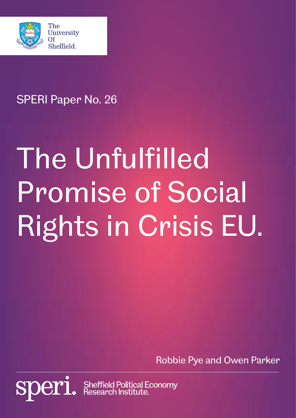

**sper** 

# SPERI Paper No. 26

# The Unfulfilled Promise of Social Rights in Crisis EU.

Robbie Pye and Owen Parker

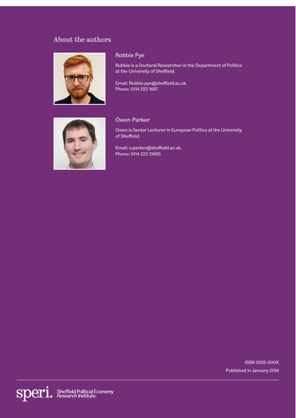# About the authors



#### Robbie Pye

Robbie is a Doctoral Researcher in the Department of Politics at the University of Sheffield.

Email: Robbie.pye@sheffield.ac.uk. Phone: 0114 222 1697.



#### Owen Parker

Owen is Senior Lecturer in European Politics at the University of Sheffield.

Email: o.parker@sheffield.ac.uk. Phone: 0114 222 21695

> ISSN 2052-000X Published in January 2016

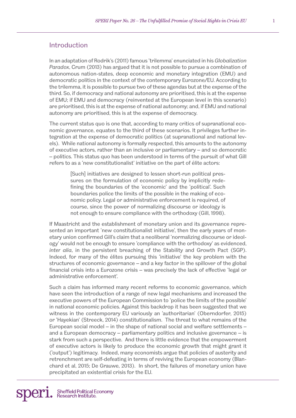### Introduction

In an adaptation of Rodrik's (2011) famous 'trilemma' enunciated in his *Globalization Paradox*, Crum (2013) has argued that it is not possible to pursue a combination of autonomous nation-states, deep economic and monetary integration (EMU) and democratic politics in the context of the contemporary Eurozone/EU. According to the trilemma, it is possible to pursue two of these agendas but at the expense of the third. So, if democracy and national autonomy are prioritised, this is at the expense of EMU; if EMU and democracy (reinvented at the European level in this scenario) are prioritised, this is at the expense of national autonomy; and, if EMU and national autonomy are prioritised, this is at the expense of democracy.

The current status quo is one that, according to many critics of supranational economic governance, equates to the third of these scenarios. It privileges further integration at the expense of democratic politics (at supranational and national levels). While national autonomy is formally respected, this amounts to the autonomy of executive actors, rather than an inclusive or parliamentary – and so democratic – politics. This status quo has been understood in terms of the pursuit of what Gill refers to as a 'new constitutionalist' initiative on the part of élite actors:

> [Such] initiatives are designed to lessen short-run political pressures on the formulation of economic policy by implicitly redefining the boundaries of the 'economic' and the 'political'. Such boundaries police the limits of the possible in the making of economic policy. Legal or administrative enforcement is required, of course, since the power of normalizing discourse or ideology is not enough to ensure compliance with the orthodoxy (Gill, 1998).

If Maastricht and the establishment of monetary union and its governance represented an important 'new constitutionalist initiative', then the early years of monetary union confirmed Gill's claim that a neoliberal 'normalizing discourse or ideology' would not be enough to ensure 'compliance with the orthodoxy' as evidenced, *inter alia*, in the persistent breaching of the Stability and Growth Pact (SGP). Indeed, for many of the élites pursuing this 'initiative' the key problem with the structures of economic governance – and a key factor in the spillover of the global financial crisis into a Eurozone crisis – was precisely the lack of effective 'legal or administrative enforcement'.

Such a claim has informed many recent reforms to economic governance, which have seen the introduction of a range of new legal mechanisms and increased the executive powers of the European Commission to 'police the limits of the possible' in national economic policies. Against this backdrop it has been suggested that we witness in the contemporary EU variously an 'authoritarian' (Oberndorfer, 2015) or 'Hayekian' (Streeck, 2014) constitutionalism. The threat to what remains of the European social model – in the shape of national social and welfare settlements – and a European democracy – parliamentary politics and inclusive governance – is stark from such a perspective. And there is little evidence that the empowerment of executive actors is likely to produce the economic growth that might grant it ('output') legitimacy. Indeed, many economists argue that policies of austerity and retrenchment are self-defeating in terms of reviving the European economy (Blanchard et al, 2015; De Grauwe, 2013). In short, the failures of monetary union have precipitated an existential crisis for the EU.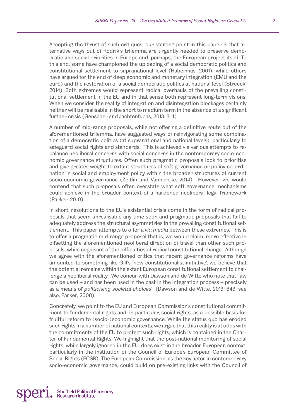Accepting the thrust of such critiques, our starting point in this paper is that alternative ways out of Rodrik's trilemma are urgently needed to preserve democratic and social priorities in Europe and, perhaps, the European project itself. To this end, some have championed the uploading of a social democratic politics and constitutional settlement to supranational level (Habermas, 2001), while others have argued for the end of deep economic and monetary integration (EMU and the euro) and the restoration of a social democratic politics at national level (Streeck, 2014). Both extremes would represent radical overhauls of the prevailing constitutional settlement in the EU and in that sense both represent long-term visions. When we consider the reality of integration and disintegration blockages certainly neither will be realisable in the short to medium term in the absence of a significant further crisis (Genscher and Jachtenfuchs, 2013: 3-4).

A number of mid-range proposals, while not offering a definitive route out of the aforementioned trilemma, have suggested ways of reinvigorating some combination of a democratic politics (at supranational and national levels), particularly to safeguard social rights and standards. This is achieved via various attempts to rebalance neoliberal concerns with social concerns in the contemporary socio-economic governance structures. Often such pragmatic proposals look to prioritise and give greater weight to extant structures of soft governance or policy co-ordination in social and employment policy within the broader structures of current socio-economic governance (Zeitlin and Vanhercke, 2014). However, we would contend that such proposals often overstate what soft governance mechanisms could achieve in the broader context of a hardened neoliberal legal framework (Parker, 2010).

In short, resolutions to the EU's existential crisis come in the form of radical proposals that seem unrealisable any time soon and pragmatic proposals that fail to adequately address the structural asymmetries in the prevailing constitutional settlement. This paper attempts to offer a *via media* between these extremes. This is to offer a pragmatic mid-range proposal that is, we would claim, more effective in offsetting the aforementioned neoliberal direction of travel than other such proposals, while cognisant of the difficulties of radical constitutional change. Although we agree with the aforementioned critics that recent governance reforms have amounted to something like Gill's 'new constitutionalist initiative', we believe that the potential remains within the extant European constitutional settlement to challenge a neoliberal reality. We concur with Dawson and de Witte who note that 'law can be used – and has been used in the past in the integration process – precisely as a means of *politicising societal choices*' (Dawson and de Witte, 2013: 843; see also, Parker, 2008).

Concretely, we point to the EU and European Commission's constitutional commitment to fundamental rights and, in particular, social rights, as a possible basis for fruitful reform to (socio-)economic governance. While the status quo has eroded such rights in a number of national contexts, we argue that this reality is at odds with the commitments of the EU to protect such rights, which is contained in the Charter of Fundamental Rights. We highlight that the post-national monitoring of social rights, while largely ignored in the EU, does exist in the broader European context, particularly in the institution of the Council of Europe's European Committee of Social Rights (ECSR). The European Commission, as the key actor in contemporary socio-economic governance, could build on pre-existing links with the Council of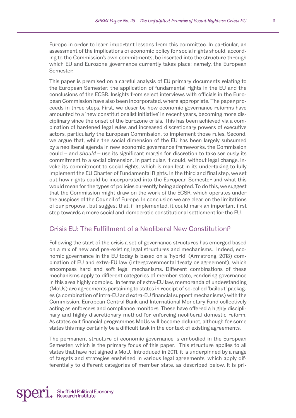Europe in order to learn important lessons from this committee. In particular, an assessment of the implications of economic policy for social rights should, according to the Commission's own commitments, be inserted into the structure through which EU and Eurozone governance currently takes place: namely, the European Semester.

This paper is premised on a careful analysis of EU primary documents relating to the European Semester, the application of fundamental rights in the EU and the conclusions of the ECSR. Insights from select interviews with officials in the European Commission have also been incorporated, where appropriate. The paper proceeds in three steps. First, we describe how economic governance reforms have amounted to a 'new constitutionalist initiative' in recent years, becoming more disciplinary since the onset of the Eurozone crisis. This has been achieved via a combination of hardened legal rules and increased discretionary powers of executive actors, particularly the European Commission, to implement those rules. Second, we argue that, while the social dimension of the EU has been largely subsumed by a neoliberal agenda in new economic governance frameworks, the Commission could – and *should* – use its significant margin for discretion to take seriously its commitment to a social dimension. In particular, it could, without legal change, invoke its commitment to social rights, which is manifest in its undertaking to fully implement the EU Charter of Fundamental Rights. In the third and final step, we set out how rights could be incorporated into the European Semester and what this would mean for the types of policies currently being adopted. To do this, we suggest that the Commission might draw on the work of the ECSR, which operates under the auspices of the Council of Europe. In conclusion we are clear on the limitations of our proposal, but suggest that, if implemented, it could mark an important first step towards a more social and democratic constitutional settlement for the EU.

# Crisis EU: The Fulfillment of a Neoliberal New Constitution?

Following the start of the crisis a set of governance structures has emerged based on a mix of new and pre-existing legal structures and mechanisms. Indeed, economic governance in the EU today is based on a 'hybrid' (Armstrong, 2013) combination of EU and extra-EU law (intergovernmental treaty or agreement), which encompass hard and soft legal mechanisms. Different combinations of these mechanisms apply to different categories of member state, rendering governance in this area highly complex. In terms of extra-EU law, memoranda of understanding (MoUs) are agreements pertaining to states in receipt of so-called 'bailout' packages (a combination of intra-EU and extra-EU financial support mechanisms) with the Commission, European Central Bank and International Monetary Fund collectively acting as enforcers and compliance monitors. These have offered a highly disciplinary and highly discretionary method for enforcing neoliberal domestic reform. As states exit financial programmes MoUs will become defunct, although for some states this may certainly be a difficult task in the context of existing agreements.

The permanent structure of economic governance is embodied in the European Semester, which is the primary focus of this paper. This structure applies to all states that have not signed a MoU. Introduced in 2011, it is underpinned by a range of targets and strategies enshrined in various legal agreements, which apply differentially to different categories of member state, as described below. It is pri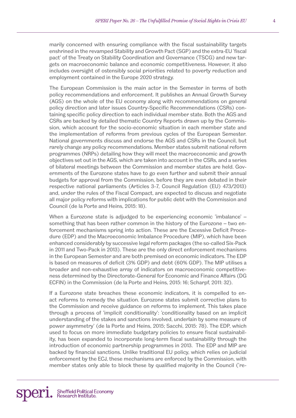marily concerned with ensuring compliance with the fiscal sustainability targets enshrined in the revamped Stability and Growth Pact (SGP) and the extra-EU 'fiscal pact' of the Treaty on Stability Coordination and Governance (TSCG) and new targets on macroeconomic balance and economic competitiveness. However, it also includes oversight of ostensibly social priorities related to poverty reduction and employment contained in the Europe 2020 strategy.

The European Commission is the main actor in the Semester in terms of both policy recommendations and enforcement. It publishes an Annual Growth Survey (AGS) on the whole of the EU economy along with recommendations on general policy direction and later issues Country-Specific Recommendations (CSRs) containing specific policy direction to each individual member state. Both the AGS and CSRs are backed by detailed thematic Country Reports drawn up by the Commission, which account for the socio-economic situation in each member state and the implementation of reforms from previous cycles of the European Semester. National governments discuss and endorse the AGS and CSRs in the Council, but rarely change any policy recommendations. Member states submit national reform programmes (NRPs) detailing how they will meet the macroeconomic and growth objectives set out in the AGS, which are taken into account in the CSRs, and a series of bilateral meetings between the Commission and member states are held. Governments of the Eurozone states have to go even further and submit their annual budgets for approval from the Commission, before they are even debated in their respective national parliaments (Articles 3-7, Council Regulation (EU) 473/2013) and, under the rules of the Fiscal Compact, are expected to discuss and negotiate all major policy reforms with implications for public debt with the Commission and Council (de la Porte and Heins, 2015: 18).

When a Eurozone state is adjudged to be experiencing economic 'imbalance' – something that has been rather common in the history of the Eurozone – two enforcement mechanisms spring into action. These are the Excessive Deficit Procedure (EDP) and the Macroeconomic Imbalance Procedure (MIP), which have been enhanced considerably by successive legal reform packages (the so-called Six-Pack in 2011 and Two-Pack in 2013). These are the only direct enforcement mechanisms in the European Semester and are both premised on economic indicators. The EDP is based on measures of deficit (3% GDP) and debt (60% GDP). The MIP utilises a broader and non-exhaustive array of indicators on macroeconomic competitiveness determined by the Directorate-General for Economic and Finance Affairs (DG ECFIN) in the Commission (de la Porte and Heins, 2015: 16; Scharpf, 2011: 32).

If a Eurozone state breaches these economic indicators, it is compelled to enact reforms to remedy the situation. Eurozone states submit corrective plans to the Commission and receive guidance on reforms to implement. This takes place through a process of 'implicit conditionality': 'conditionality based on an implicit understanding of the stakes and sanctions involved, underlain by some measure of power asymmetry' (de la Porte and Heins, 2015; Sacchi, 2015: 78). The EDP, which used to focus on more immediate budgetary policies to ensure fiscal sustainability, has been expanded to incorporate long-term fiscal sustainability through the introduction of economic partnership programmes in 2013. The EDP and MIP are backed by financial sanctions. Unlike traditional EU policy, which relies on judicial enforcement by the ECJ, these mechanisms are enforced by the Commission, with member states only able to block these by qualified majority in the Council ('re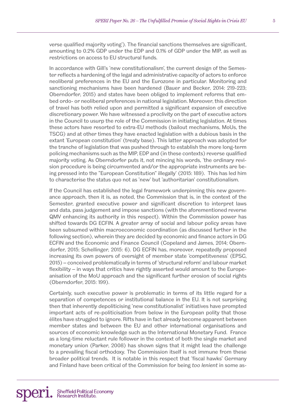verse qualified majority voting'). The financial sanctions themselves are significant, amounting to 0.2% GDP under the EDP and 0.1% of GDP under the MIP, as well as restrictions on access to EU structural funds.

In accordance with Gill's 'new constitutionalism', the current design of the Semester reflects a hardening of the legal and administrative capacity of actors to enforce neoliberal preferences in the EU and the Eurozone in particular. Monitoring and sanctioning mechanisms have been hardened (Bauer and Becker, 2014: 219-223; Oberndorfer, 2015) and states have been obliged to implement reforms that embed ordo- or neoliberal preferences in national legislation. Moreover, this direction of travel has both relied upon and permitted a significant expansion of executive discretionary power. We have witnessed a proclivity on the part of executive actors in the Council to usurp the role of the Commission in initiating legislation. At times these actors have resorted to extra-EU methods (bailout mechanisms, MoUs, the TSCG) and at other times they have enacted legislation with a dubious basis in the extant 'European constitution' (treaty base). This latter approach was adopted for the tranche of legislation that was pushed through to establish the more long-term policing mechanisms such as the MIP, EDP and (in these contexts) reverse qualified majority voting. As Oberndorfer puts it, not mincing his words, 'the ordinary revision procedure is being circumvented and/or the appropriate instruments are being pressed into the "European Constitution" illegally' (2015: 189). This has led him to characterise the status quo not as 'new' but 'authoritarian' constitutionalism.

If the Council has established the legal framework underpinning this new governance approach, then it is, as noted, the Commission that is, in the context of the Semester, granted executive power and significant discretion to interpret laws and data, pass judgement and impose sanctions (with the aforementioned reverse QMV enhancing its authority in this respect). Within the Commission power has shifted towards DG ECFIN. A greater array of social and labour policy areas have been subsumed within macroeconomic coordination (as discussed further in the following section), wherein they are decided by economic and finance actors in DG ECFIN and the Economic and Finance Council (Copeland and James, 2014; Oberndorfer, 2015; Schellinger, 2015: 6). DG ECFIN has, moreover, repeatedly proposed increasing its own powers of oversight of member state 'competitveness' (EPSC, 2015) – conceived problematically in terms of 'structural reform' and labour market flexibility – in ways that critics have rightly asserted would amount to the Europeanisation of the MoU approach and the significant further erosion of social rights (Oberndorfer, 2015: 199).

Certainly, such executive power is problematic in terms of its little regard for a separation of competences or institutional balance in the EU. It is not surprising then that inherently depoliticising 'new constitutionalist' initiatives have prompted important acts of re-politicisation from below in the European polity that those élites have struggled to ignore. Rifts have in fact already become apparent between member states and between the EU and other international organisations and sources of economic knowledge such as the International Monetary Fund. France as a long-time reluctant rule follower in the context of both the single market and monetary union (Parker, 2008) has shown signs that it might lead the challenge to a prevailing fiscal orthodoxy. The Commission itself is not immune from these broader political trends. It is notable in this respect that 'fiscal hawks' Germany and Finland have been critical of the Commission for being *too lenient* in some as-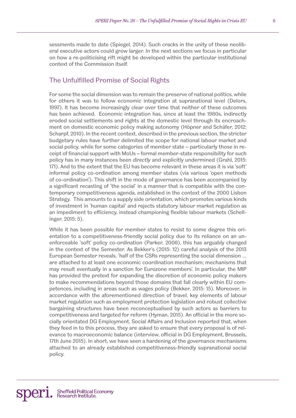# The Unfulfilled Promise of Social Rights

For some the social dimension was to remain the preserve of national politics, while for others it was to follow economic integration at supranational level (Delors, 1997). It has become increasingly clear over time that neither of these outcomes has been achieved. Economic integration has, since at least the 1980s, indirectly eroded social settlements and rights at the domestic level through its encroachment on domestic economic policy making autonomy (Höpner and Schäfer, 2012; Scharpf, 2010). In the recent context, described in the previous section, the stricter budgetary rules have further delimited the scope for national labour market and social policy, while for some categories of member state – particularly those in receipt of financial support with MoUs – formal member-state responsibility for such policy has in many instances been *directly* and explicitly undermined (Grahl, 2015: 171). And to the extent that the EU has become relevant in these areas it is via 'soft' informal policy co-ordination among member states (via various 'open methods of co-ordination'). This shift in the mode of governance has been accompanied by a significant recasting of 'the social' in a manner that is compatible with the contemporary competitiveness agenda, established in the context of the 2000 Lisbon Strategy. This amounts to a supply side orientation, which promotes various kinds of investment in 'human capital' and rejects statutory labour market regulation as an impediment to efficiency, instead championing flexible labour markets (Schellinger, 2015: 5).

While it has been possible for member states to resist to some degree this orientation to a competitiveness-friendly social policy due to its reliance on an unenforceable 'soft' policy co-ordination (Parker, 2008), this has arguably changed in the context of the Semester. As Bekker's (2015: 12) careful analysis of the 2013 European Semester reveals, 'half of the CSRs representing the social dimension … are attached to at least one economic coordination mechanism; mechanisms that may result eventually in a sanction for Eurozone members'. In particular, the MIP has provided the pretext for expanding the discretion of economic policy makers to make recommendations beyond those domains that fall clearly within EU competences, including in areas such as wages policy (Bekker, 2015: 15). Moreover, in accordance with the aforementioned direction of travel, key elements of labour market regulation such as employment protection legislation and robust collective bargaining structures have been reconceptualised by such actors as barriers to competitiveness and targeted for reform (Hyman, 2015). An official in the more socially orientated DG Employment, Social Affairs and Inclusion reported that, when they feed in to this process, they are asked to ensure that every proposal is of relevance to macroeconomic balance (interview, official in DG Employment, Brussels, 17th June 2015). In short, we have seen a hardening of the governance mechanisms attached to an already established competitiveness-friendly supranational social policy.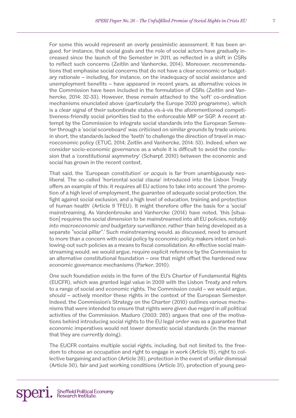For some this would represent an overly pessimistic assessment. It has been argued, for instance, that social goals and the role of social actors have gradually increased since the launch of the Semester in 2011, as reflected in a shift in CSRs to reflect such concerns (Zeitlin and Vanhercke, 2014). Moreover, recommendations that emphasise social concerns that do not have a clear economic or budgetary rationale – including, for instance, on the inadequacy of social assistance and unemployment benefits – have appeared in recent years, as alternative voices in the Commission have been included in the formulation of CSRs (Zeitlin and Vanhercke, 2014: 32-33). However, these remain attached to the 'soft' co-ordination mechanisms enunciated above (particularly the Europe 2020 programme), which is a clear signal of their subordinate status vis-à-vis the aforementioned competitiveness-friendly social priorities tied to the enforceable MIP or SGP. A recent attempt by the Commission to integrate social standards into the European Semester through a 'social scoreboard' was criticised on similar grounds by trade unions: in short, the standards lacked the 'teeth' to challenge the direction of travel in macroeconomic policy (ETUC, 2014; Zeitlin and Vanhercke, 2014: 53). Indeed, when we consider socio-economic governance as a whole it is difficult to avoid the conclusion that a 'constitutional asymmetry' (Scharpf, 2010) between the economic and social has grown in the recent context.

That said, the 'European constitution' or *acquis* is far from unambiguously neoliberal. The so-called 'horizontal social clause' introduced into the Lisbon Treaty offers an example of this: it requires all EU actions to take into account 'the promotion of a high level of employment, the guarantee of adequate social protection, the fight against social exclusion, and a high level of education, training and protection of human health' (Article 9 TFEU). It might therefore offer the basis for a 'social' mainstreaming. As Vandenbrouke and Vanhercke (2014) have noted, 'this [situation] requires the social dimension to be mainstreamed into all EU policies, *notably into macroeconomic and budgetary surveillance*, rather than being developed as a separate "social pillar".' Such mainstreaming would, as discussed, need to amount to more than a concern with social policy by economic policy makers intent on hollowing-out such policies as a means to fiscal consolidation. An effective social mainstreaming would, we would argue, require explicit reference by the Commission to an alternative constitutional foundation – one that might offset the hardened new economic governance mechanisms (Parker, 2010).

One such foundation exists in the form of the EU's Charter of Fundamental Rights (EUCFR), which was granted legal value in 2009 with the Lisbon Treaty and refers to a range of social and economic rights. The Commission could – we would argue, *should* – actively monitor these rights in the context of the European Semester. Indeed, the Commission's Strategy on the Charter (2010) outlines various mechanisms that were intended to ensure that rights were given due regard in *all* political activities of the Commission. Maduro (2003: 285) argues that one of the motivations behind introducing social rights to the EU legal order was as a guarantee that economic imperatives would not lower domestic social standards (in the manner that they are currently doing).

The EUCFR contains multiple social rights, including, but not limited to, the freedom to choose an occupation and right to engage in work (Article 15), right to collective bargaining and action (Article 28), protection in the event of unfair dismissal (Article 30), fair and just working conditions (Article 31), protection of young peo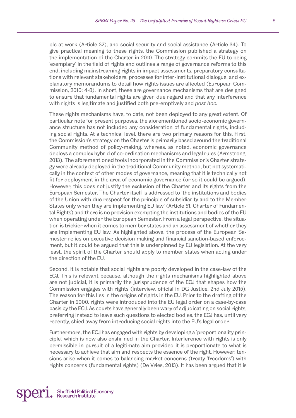ple at work (Article 32), and social security and social assistance (Article 34). To give practical meaning to these rights, the Commission published a strategy on the implementation of the Charter in 2010. The strategy commits the EU to being 'exemplary' in the field of rights and outlines a range of governance reforms to this end, including mainstreaming rights in impact assessments, preparatory consultations with relevant stakeholders, processes for inter-institutional dialogue, and explanatory memorandums to detail how rights issues are affected (European Commission, 2010: 4-8). In short, these are governance mechanisms that are designed to ensure that fundamental rights are given due regard and that any interference with rights is legitimate and justified both pre-emptively and *post hoc.*

These rights mechanisms have, to date, not been deployed to any great extent. Of particular note for present purposes, the aforementioned socio-economic governance structure has not included any consideration of fundamental rights, including social rights. At a technical level, there are two primary reasons for this. First, the Commission's strategy on the Charter is primarily based around the traditional Community method of policy-making, whereas, as noted, economic governance deploys a complex hybrid of co-ordination mechanisms and legal rules (Armstrong, 2013). The aforementioned tools incorporated in the Commission's Charter strategy were already deployed in the traditional Community method, but not systematically in the context of other modes of governance, meaning that it is technically not fit for deployment in the area of economic governance (or so it could be argued). However, this does not justify the exclusion of the Charter and its rights from the European Semester. The Charter itself is addressed to 'the institutions and bodies of the Union with due respect for the principle of subsidiarity and to the Member States only when they are implementing EU law' (Article 51, Charter of Fundamental Rights) and there is no provision exempting the institutions and bodies of the EU when operating under the European Semester. From a legal perspective, the situation is trickier when it comes to member states and an assessment of whether they are implementing EU law. As highlighted above, the process of the European Semester relies on executive decision making and financial sanction-based enforcement, but it could be argued that this is underpinned by EU legislation. At the very least, the spirit of the Charter should apply to member states when acting under the direction of the EU.

Second, it is notable that social rights are poorly developed in the case-law of the ECJ. This is relevant because, although the rights mechanisms highlighted above are not judicial, it is primarily the jurisprudence of the ECJ that shapes how the Commission engages with rights (interview, official in DG Justice, 2nd July 2015). The reason for this lies in the origins of rights in the EU. Prior to the drafting of the Charter in 2000, rights were introduced into the EU legal order on a case-by-case basis by the ECJ. As courts have generally been wary of adjudicating on social rights, preferring instead to leave such questions to elected bodies, the ECJ has, until very recently, shied away from introducing social rights into the EU's legal order.

Furthermore, the ECJ has engaged with rights by developing a 'proportionality principle', which is now also enshrined in the Charter. Interference with rights is only permissible in pursuit of a legitimate aim provided it is proportionate to what is necessary to achieve that aim and respects the essence of the right. However, tensions arise when it comes to balancing market concerns (treaty 'freedoms') with rights concerns (fundamental rights) (De Vries, 2013). It has been argued that it is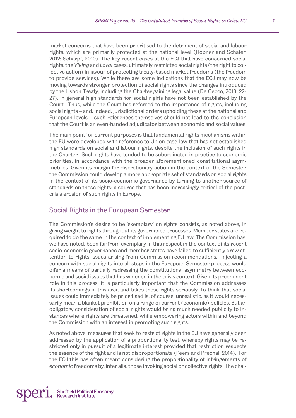market concerns that have been prioritised to the detriment of social and labour rights, which are primarily protected at the national level (Höpner and Schäfer, 2012; Scharpf, 2010). The key recent cases at the ECJ that have concerned social rights, the *Viking* and *Laval* cases, ultimately restricted social rights (the right to collective action) in favour of protecting treaty-based market freedoms (the freedom to provide services). While there are some indications that the ECJ may now be moving towards stronger protection of social rights since the changes introduced by the Lisbon Treaty, including the Charter gaining legal value (De Cecco, 2013: 22- 27), in general high standards for social rights have not been established by the Court. Thus, while the Court has referred to the importance of rights, including social rights – and, indeed, jurisdictional orders upholding these at the national and European levels – such references themselves should not lead to the conclusion that the Court is an even-handed adjudicator between economic and social values.

The main point for current purposes is that fundamental rights mechanisms within the EU were developed with reference to Union case-law that has not established high standards on social and labour rights, despite the inclusion of such rights in the Charter. Such rights have tended to be subordinated in practice to economic priorities, in accordance with the broader aforementioned constitutional asymmetries. Given its margin for discretionary action in the context of the Semester, the Commission could develop a more appropriate set of standards on social rights in the context of its socio-economic governance by turning to another source of standards on these rights: a source that has been increasingly critical of the postcrisis erosion of such rights in Europe.

# Social Rights in the European Semester

The Commission's desire to be 'exemplary' on rights consists, as noted above, in giving weight to rights throughout its governance processes. Member states are required to do the same in the context of implementing EU law. The Commission has, we have noted, been far from exemplary in this respect in the context of its recent socio-economic governance and member states have failed to sufficiently draw attention to rights issues arising from Commission recommendations. Injecting a concern with social rights into all steps in the European Semester process would offer a means of partially redressing the constitutional asymmetry between economic and social issues that has widened in the crisis context. Given its preeminent role in this process, it is particularly important that the Commission addresses its shortcomings in this area and takes these rights seriously. To think that social issues could immediately be prioritised is, of course, unrealistic, as it would necessarily mean a blanket prohibition on a range of current (economic) policies. But an obligatory consideration of social rights would bring much needed publicity to instances where rights are threatened, while empowering actors within and beyond the Commission with an interest in promoting such rights.

As noted above, measures that seek to restrict rights in the EU have generally been addressed by the application of a proportionality test, whereby rights may be restricted only in pursuit of a legitimate interest provided that restriction respects the essence of the right and is not disproportionate (Peers and Prechal, 2014). For the ECJ this has often meant considering the proportionality of infringements of *economic* freedoms by, inter alia, those invoking social or collective rights. The chal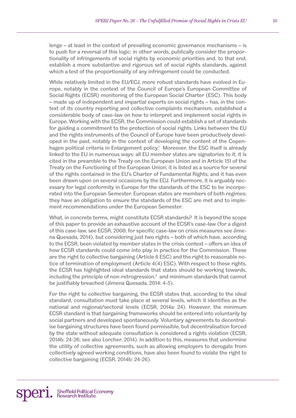lenge – at least in the context of prevailing economic governance mechanisms – is to push for a reversal of this logic: in other words, publically consider the proportionality of infringements of social rights by economic priorities and, to that end, establish a more substantive and rigorous set of social rights standards, against which a test of the proportionality of any infringement could be conducted.

While relatively limited in the EU/ECJ, more robust standards have evolved in Europe, notably in the context of the Council of Europe's European Committee of Social Rights (ECSR) monitoring of the European Social Charter (ESC). This body – made up of independent and impartial experts on social rights – has, in the context of its country reporting and collective complaints mechanism, established a considerable body of case-law on how to interpret and implement social rights in Europe. Working with the ECSR, the Commission could establish a set of standards for guiding a commitment to the protection of social rights. Links between the EU and the rights instruments of the Council of Europe have been productively developed in the past, notably in the context of developing the content of the Copenhagen political criteria in Enlargement policy.<sup>1</sup> Moreover, the ESC itself is already linked to the EU in numerous ways: all EU member states are signatories to it; it is cited in the preamble to the Treaty on the European Union and in Article 151 of the Treaty on the Functioning of the European Union; it is listed as a source for several of the rights contained in the EU's Charter of Fundamental Rights; and it has even been drawn upon on several occasions by the ECJ. Furthermore, it is arguably necessary for legal conformity in Europe for the standards of the ESC to be incorporated into the European Semester. European states are members of both regimes; they have an obligation to ensure the standards of the ESC are met and to implement recommendations under the European Semester.

What, in concrete terms, might constitute ECSR standards? It is beyond the scope of this paper to provide an exhaustive account of the ECSR's case-law (for a digest of this case-law, see ECSR, 2008; for specific case-law on crisis measures see Jimena Quesada, 2014), but considering just two rights – both of which have, according to the ECSR, been violated by member states in the crisis context – offers an idea of how ECSR standards could come into play in practice for the Commission. These are the right to collective bargaining (Article 6 ESC) and the right to reasonable notice of termination of employment (Article 4(4) ESC). With respect to these rights, the ECSR has highlighted ideal standards that states should be working towards, including the principle of non-retrogression, $^2$  and minimum standards that cannot be justifiably breached (Jimena Quesada, 2014: 4-5).

For the right to collective bargaining, the ECSR states that, according to the ideal standard, consultation must take place at several levels, which it identifies as the national and regional/sectoral levels (ECSR, 2014a: 24). However, the minimum ECSR standard is that bargaining frameworks should be entered into voluntarily by social partners and developed spontaneously. Voluntary agreements to decentralise bargaining structures have been found permissible, but decentralisation forced by the state without adequate consultation is considered a rights violation (ECSR, 2014b: 24-26; see also Lorcher, 2014). In addition to this, measures that undermine the utility of collective agreements, such as allowing employers to derogate from collectively agreed working conditions, have also been found to violate the right to collective bargaining (ECSR, 2014b: 24-26).

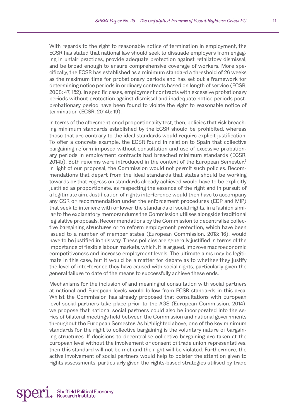With regards to the right to reasonable notice of termination in employment, the ECSR has stated that national law should seek to dissuade employers from engaging in unfair practices, provide adequate protection against retaliatory dismissal, and be broad enough to ensure comprehensive coverage of workers. More specifically, the ECSR has established as a minimum standard a threshold of 26 weeks as the maximum time for probationary periods and has set out a framework for determining notice periods in ordinary contracts based on length of service (ECSR, 2008: 47, 152). In specific cases, employment contracts with excessive probationary periods without protection against dismissal and inadequate notice periods postprobationary period have been found to violate the right to reasonable notice of termination (ECSR, 2014b: 19).

In terms of the aforementioned proportionality test, then, policies that risk breaching minimum standards established by the ECSR should be prohibited, whereas those that are contrary to the ideal standards would require explicit justification. To offer a concrete example, the ECSR found in relation to Spain that collective bargaining reform imposed without consultation and use of excessive probationary periods in employment contracts had breached minimum standards (ECSR, 2014b). Both reforms were introduced in the context of the European Semester.<sup>3</sup> In light of our proposal, the Commission would not permit such policies. Recommendations that depart from the ideal standards that states should be working towards or that regress on standards already achieved would have to be explicitly justified as proportionate, as respecting the essence of the right and in pursuit of a legitimate aim. Justification of rights interference would then have to accompany any CSR or recommendation under the enforcement procedures (EDP and MIP) that seek to interfere with or lower the standards of social rights, in a fashion similar to the explanatory memorandums the Commission utilises alongside traditional legislative proposals. Recommendations by the Commission to decentralise collective bargaining structures or to reform employment protection, which have been issued to a number of member states (European Commission, 2013: 16), would have to be justified in this way. These policies are generally justified in terms of the importance of flexible labour markets, which, it is argued, improve macroeconomic competitiveness and increase employment levels. The ultimate aims may be legitimate in this case, but it would be a matter for debate as to whether they justify the level of interference they have caused with social rights, particularly given the general failure to date of the means to successfully achieve these ends.

Mechanisms for the inclusion of and meaningful consultation with social partners at national and European levels would follow from ECSR standards in this area. Whilst the Commission has already proposed that consultations with European level social partners take place prior to the AGS (European Commission, 2014), we propose that national social partners could also be incorporated into the series of bilateral meetings held between the Commission and national governments throughout the European Semester. As highlighted above, one of the key minimum standards for the right to collective bargaining is the voluntary nature of bargaining structures. If decisions to decentralise collective bargaining are taken at the European level without the involvement or consent of trade union representatives, then this standard will not be met and the right will be violated. Furthermore, the active involvement of social partners would help to bolster the attention given to rights assessments, particularly given the rights-based strategies utilised by trade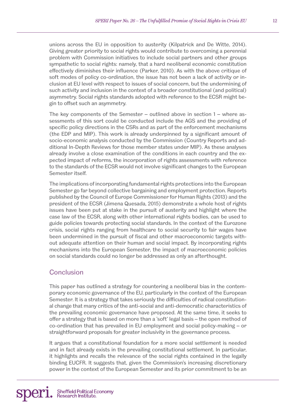unions across the EU in opposition to austerity (Kilpatrick and De Witte, 2014). Giving greater priority to social rights would contribute to overcoming a perennial problem with Commission initiatives to include social partners and other groups sympathetic to social rights: namely, that a hard neoliberal economic constitution effectively diminishes their influence (Parker, 2010). As with the above critique of soft modes of policy co-ordination, the issue has not been a lack of activity or inclusion at EU level with respect to issues of social concern, but the undermining of such activity and inclusion in the context of a broader constitutional (and political) asymmetry. Social rights standards adopted with reference to the ECSR might begin to offset such an asymmetry.

The key components of the Semester – outlined above in section 1 – where assessments of this sort could be conducted include the AGS and the providing of specific policy directions in the CSRs and as part of the enforcement mechanisms (the EDP and MIP). This work is already underpinned by a significant amount of socio-economic analysis conducted by the Commission (Country Reports and additional In-Depth Reviews for those member states under MIP). As these analyses already involve a close examination of the conditions in each country and the expected impact of reforms, the incorporation of rights assessments with reference to the standards of the ECSR would not involve significant changes to the European Semester itself.

The implications of incorporating fundamental rights protections into the European Semester go far beyond collective bargaining and employment protection. Reports published by the Council of Europe Commissioner for Human Rights (2013) and the president of the ECSR (Jimena Quesada, 2015) demonstrate a whole host of rights issues have been put at stake in the pursuit of austerity and highlight where the case law of the ECSR, along with other international rights bodies, can be used to guide policies towards protecting social standards. In the context of the Eurozone crisis, social rights ranging from healthcare to social security to fair wages have been undermined in the pursuit of fiscal and other macroeconomic targets without adequate attention on their human and social impact. By incorporating rights mechanisms into the European Semester, the impact of macroeconomic policies on social standards could no longer be addressed as only an afterthought.

# **Conclusion**

This paper has outlined a strategy for countering a neoliberal bias in the contemporary economic governance of the EU, particularly in the context of the European Semester. It is a strategy that takes seriously the difficulties of radical constitutional change that many critics of the anti-social and anti-democratic characteristics of the prevailing economic governance have proposed. At the same time, it seeks to offer a strategy that is based on more than a 'soft' legal basis – the open method of co-ordination that has prevailed in EU employment and social policy-making – or straightforward proposals for greater inclusivity in the governance process.

It argues that a constitutional foundation for a more social settlement is needed and in fact already exists in the prevailing constitutional settlement. In particular, it highlights and recalls the relevance of the social rights contained in the legally binding EUCFR. It suggests that, given the Commission's increasing discretionary power in the context of the European Semester and its prior commitment to be an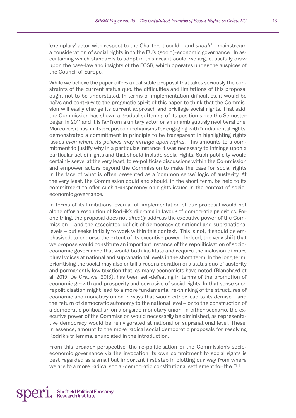'exemplary' actor with respect to the Charter, it could – and *should* – mainstream a consideration of social rights in to the EU's (socio)-economic governance. In ascertaining which standards to adopt in this area it could, we argue, usefully draw upon the case-law and insights of the ECSR, which operates under the auspices of the Council of Europe.

While we believe the paper offers a realisable proposal that takes seriously the constraints of the current status quo, the difficulties and limitations of this proposal ought not to be understated. In terms of implementation difficulties, it would be naïve and contrary to the pragmatic spirit of this paper to think that the Commission will easily change its current approach and privilege social rights. That said, the Commission has shown a gradual softening of its position since the Semester began in 2011 and it is far from a unitary actor or an unambiguously neoliberal one. Moreover, it has, in its proposed mechanisms for engaging with fundamental rights, demonstrated a commitment in principle to be transparent in highlighting rights issues *even where its policies may infringe upon rights*. This amounts to a commitment to justify why in a particular instance it was necessary to infringe upon a particular set of rights and that should include social rights. Such publicity would certainly serve, at the very least, to re-politicise discussions within the Commission and empower actors beyond the Commission to make the case for social rights in the face of what is often presented as a 'common sense' logic of austerity. At the very least, the Commission could and should, in the short term, be held to its commitment to offer such transparency on rights issues in the context of socioeconomic governance.

In terms of its limitations, even a full implementation of our proposal would not alone offer a resolution of Rodrik's dilemma in favour of democratic priorities. For one thing, the proposal does not *directly* address the executive power of the Commission – and the associated deficit of democracy at national and supranational levels – but seeks initially to work within this context. This is not, it should be emphasised, to endorse the extent of its executive power. Indeed, the very shift that we propose would constitute an important instance of the repoliticisation of socioeconomic governance that would both facilitate and require the inclusion of more plural voices at national and supranational levels in the short term. In the long term, prioritising the social may also entail a reconsideration of a status quo of austerity and permanently low taxation that, as many economists have noted (Blanchard et al. 2015; De Grauwe, 2013), has been self-defeating in terms of the promotion of economic growth and prosperity and corrosive of social rights. In that sense such repoliticisation might lead to a more fundamental re-thinking of the structures of economic and monetary union in ways that would either lead to its demise – and the return of democratic autonomy to the national level – or to the construction of a democratic political union alongside monetary union. In either scenario, the executive power of the Commission would necessarily be diminished, as representative democracy would be reinvigorated at national or supranational level. These, in essence, amount to the more radical social democratic proposals for resolving Rodrik's trilemma, enunciated in the introduction.

From this broader perspective, the re-politicisation of the Commission's socioeconomic governance via the invocation its own commitment to social rights is best regarded as a small but important first step in plotting our way from where we are to a more radical social-democratic constitutional settlement for the EU.

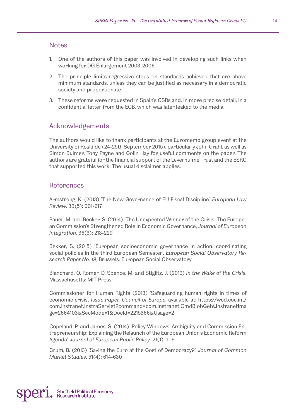#### **Notes**

- 1. One of the authors of this paper was involved in developing such links when working for DG Enlargement 2003-2006.
- 2. The principle limits regressive steps on standards achieved that are above minimum standards, unless they can be justified as necessary in a democratic society and proportionate.
- 3. These reforms were requested in Spain's CSRs and, in more precise detail, in a confidential letter from the ECB, which was later leaked to the media.

## Acknowledgements

The authors would like to thank participants at the Euromemo group event at the University of Roskilde (24-25th September 2015), particularly John Grahl, as well as Simon Bulmer, Tony Payne and Colin Hay for useful comments on the paper. The authors are grateful for the financial support of the Leverhulme Trust and the ESRC that supported this work. The usual disclaimer applies.

#### **References**

Armstrong, K. (2013) 'The New Governance of EU Fiscal Discipline', *European Law Review*. 38(5): 601-617

Bauer, M. and Becker, S. (2014) 'The Unexpected Winner of the Crisis: The European Commission's Strengthened Role in Economic Governance', *Journal of European Integration*. 36(3): 213-229

Bekker, S. (2015) 'European socioeconomic governance in action: coordinating social policies in the third European Semester', *European Social Observatory Research Paper No. 19*, Brussels: European Social Observatory

Blanchard, O. Romer, D. Spence, M. and Stiglitz, J. (2012) *In the Wake of the Crisis*. Massachusetts: MIT Press

Commissioner for Human Rights (2013) 'Safeguarding human rights in times of economic crisis', *Issue Paper, Council of Europe*, available at: https://wcd.coe.int/ com.instranet.InstraServlet?command=com.instranet.CmdBlobGet&InstranetIma ge=2664103&SecMode=1&DocId=2215366&Usage=2

Copeland, P. and James, S. (2014) 'Policy Windows, Ambiguity and Commission Entrepreneurship: Explaining the Relaunch of the European Union's Economic Reform Agenda', *Journal of European Public Policy*. 21(1): 1-19

Crum, B. (2013) 'Saving the Euro at the Cost of Democracy?', *Journal of Common Market Studies*, 51(4): 614-630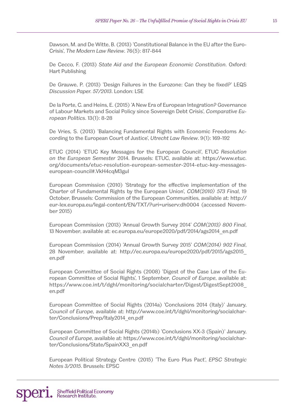Dawson, M. and De Witte, B. (2013) 'Constitutional Balance in the EU after the Euro-Crisis', *The Modern Law Review*. 76(5): 817-844

De Cecco, F. (2013) *State Aid and the European Economic Constitution*. Oxford: Hart Publishing

De Grauwe, P. (2013) 'Design Failures in the Eurozone: Can they be fixed?' LEQS *Discussion Paper. 57/2013*. London: LSE

De la Porte, C. and Heins, E. (2015) 'A New Era of European Integration? Governance of Labour Markets and Social Policy since Sovereign Debt Crisis', *Comparative European Politics*. 13(1): 8-28

De Vries, S. (2013) 'Balancing Fundamental Rights with Economic Freedoms According to the European Court of Justice', *Utrecht Law Review*. 9(1): 169-192

ETUC (2014) 'ETUC Key Messages for the European Council', ETUC *Resolution on the European Semester* 2014. Brussels: ETUC, available at: https://www.etuc. org/documents/etuc-resolution-european-semester-2014-etuc-key-messageseuropean-council#.VkH4cqM3guI

European Commission (2010) 'Strategy for the effective implementation of the Charter of Fundamental Rights by the European Union', *COM(2010) 573 Final*, 19 October, Brussels: Commission of the European Communities, available at: http:// eur-lex.europa.eu/legal-content/EN/TXT/?uri=uriserv:dh0004 (accessed November 2015)

European Commission (2013) 'Annual Growth Survey 2014' *COM(2013) 800 Final*, 13 November, available at: ec.europa.eu/europe2020/pdf/2014/ags2014\_en.pdf

European Commission (2014) 'Annual Growth Survey 2015' *COM(2014) 902 Final*, 28 November, available at: http://ec.europa.eu/europe2020/pdf/2015/ags2015\_ en.pdf

European Committee of Social Rights (2008) 'Digest of the Case Law of the European Committee of Social Rights', 1 September, *Council of Europe*, available at: https://www.coe.int/t/dghl/monitoring/socialcharter/Digest/DigestSept2008\_ en.pdf

European Committee of Social Rights (2014a) 'Conclusions 2014 (Italy)' January, *Council of Europe*, available at: http://www.coe.int/t/dghl/monitoring/socialcharter/Conclusions/Prep/Italy2014\_en.pdf

European Committee of Social Rights (2014b) 'Conclusions XX-3 (Spain)' January, *Council of Europe*, available at: https://www.coe.int/t/dghl/monitoring/socialcharter/Conclusions/State/SpainXX3\_en.pdf

European Political Strategy Centre (2015) 'The Euro Plus Pact', *EPSC Strategic Notes 3/2015*. Brussels: EPSC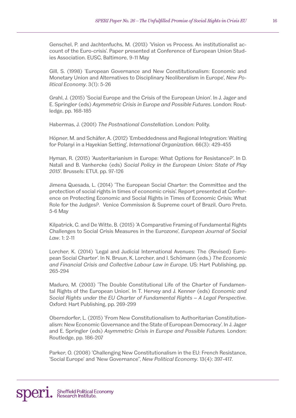Genschel, P. and Jachtenfuchs, M. (2013) 'Vision vs Process. An institutionalist account of the Euro-crisis'. Paper presented at Conference of European Union Studies Association. EUSC, Baltimore, 9-11 May

Gill, S. (1998) 'European Governance and New Constitutionalism: Economic and Monetary Union and Alternatives to Disciplinary Neoliberalism in Europe', *New Political Economy*. 3(1): 5-26

Grahl, J. (2015) 'Social Europe and the Crisis of the European Union'. In J. Jager and E. Springler (eds) *Asymmetric Crisis in Europe and Possible Futures*. London: Routledge, pp. 168-185

Habermas, J. (2001) *The Postnational Constellation*. London: Polity.

Höpner, M. and Schäfer, A. (2012) 'Embeddedness and Regional Integration: Waiting for Polanyi in a Hayekian Setting', *International Organization*. 66(3): 429-455

Hyman, R. (2015) 'Austeritarianism in Europe: What Options for Resistance?'. In D. Natali and B. Vanhercke (eds) *Social Policy in the European Union: State of Play 2015*'. Brussels: ETUI, pp. 97-126

Jimena Quesada, L. (2014) 'The European Social Charter: the Committee and the protection of social rights in times of economic crisis'. Report presented at Conference on Protecting Economic and Social Rights in Times of Economic Crisis: What Role for the Judges?. Venice Commission & Supreme court of Brazil, Ouro Preto, 5-6 May

Kilpatrick, C. and De Witte, B. (2015) 'A Comparative Framing of Fundamental Rights Challenges to Social Crisis Measures in the Eurozone', *European Journal of Social Law*. 1: 2-11

Lorcher, K. (2014) 'Legal and Judicial International Avenues: The (Revised) European Social Charter'. In N. Bruun, K. Lorcher, and I. Schömann (eds.) *The Economic and Financial Crisis and Collective Labour Law in Europe*. US: Hart Publishing, pp. 265-294

Maduro, M. (2003) 'The Double Constitutional Life of the Charter of Fundamental Rights of the European Union'. In T. Hervey and J. Kenner (eds) *Economic and Social Rights under the EU Charter of Fundamental Rights* – *A Legal Perspective*. Oxford: Hart Publishing, pp. 269-299

Oberndorfer, L. (2015) 'From New Constitutionalism to Authoritarian Constitutionalism: New Economic Governance and the State of European Democracy'. In J. Jager and E. Springler (eds) *Asymmetric Crisis in Europe and Possible Futures.* London: Routledge, pp. 186-207

Parker, O. (2008) 'Challenging New Constitutionalism in the EU: French Resistance, 'Social Europe' and 'New Governance'', *New Political Economy*. 13(4): 397-417.

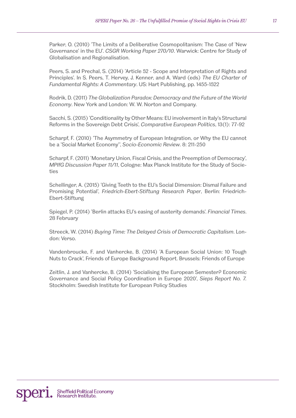Parker, O. (2010) 'The Limits of a Deliberative Cosmopolitanism: The Case of 'New Governance' in the EU'. *CSGR Working Paper 270/10*. Warwick: Centre for Study of Globalisation and Regionalisation.

Peers, S. and Prechal, S. (2014) 'Article 52 - Scope and Interpretation of Rights and Principles'. In S. Peers, T. Hervey, J. Kenner, and A. Ward (eds) *The EU Charter of Fundamental Rights: A Commentary*. US: Hart Publishing, pp. 1455-1522

Rodrik, D. (2011) *The Globalization Paradox: Democracy and the Future of the World Economy*. New York and London: W. W. Norton and Company.

Sacchi, S. (2015) 'Conditionality by Other Means: EU involvement in Italy's Structural Reforms in the Sovereign Debt Crisis', *Comparative European Politics*, 13(1): 77-92

Scharpf, F. (2010) 'The Asymmetry of European Integration, or Why the EU cannot be a 'Social Market Economy'', *Socio-Economic Review.* 8: 211-250

Scharpf, F. (2011) 'Monetary Union, Fiscal Crisis, and the Preemption of Democracy', *MPIfG Discussion Paper 11/11*, Cologne: Max Planck Institute for the Study of Societies

Schellinger, A. (2015) 'Giving Teeth to the EU's Social Dimension: Dismal Failure and Promising Potential', *Friedrich-Ebert-Stiftung Research Paper*, Berlin: Friedrich-Ebert-Stiftung

Spiegel, P. (2014) 'Berlin attacks EU's easing of austerity demands'. *Financial Times*. 28 February

Streeck, W. (2014) *Buying Time: The Delayed Crisis of Democratic Capitalism*. London: Verso.

Vandenbroucke, F. and Vanhercke, B. (2014) 'A European Social Union: 10 Tough Nuts to Crack', Friends of Europe Background Report. Brussels: Friends of Europe

Zeitlin, J. and Vanhercke, B. (2014) 'Socialising the European Semester? Economic Governance and Social Policy Coordination in Europe 2020', *Sieps Report No. 7.* Stockholm: Swedish Institute for European Policy Studies